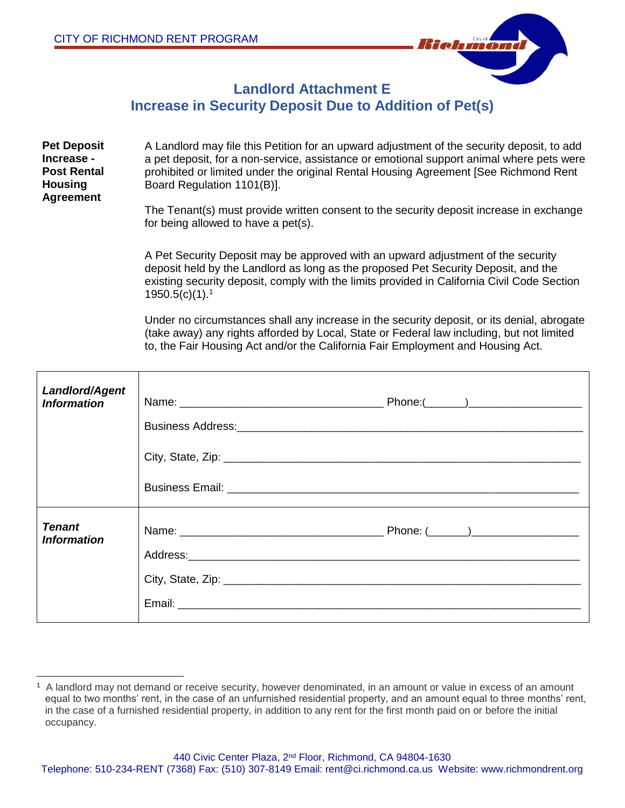

## **Landlord Attachment E Increase in Security Deposit Due to Addition of Pet(s)**

| <b>Pet Deposit</b><br>Increase -<br><b>Post Rental</b><br><b>Housing</b><br><b>Agreement</b> | A Landlord may file this Petition for an upward adjustment of the security deposit, to add<br>a pet deposit, for a non-service, assistance or emotional support animal where pets were<br>prohibited or limited under the original Rental Housing Agreement [See Richmond Rent<br>Board Regulation 1101(B)]. |
|----------------------------------------------------------------------------------------------|--------------------------------------------------------------------------------------------------------------------------------------------------------------------------------------------------------------------------------------------------------------------------------------------------------------|
|                                                                                              | The Tenant(s) must provide written consent to the security deposit increase in exchange<br>for being allowed to have a pet(s).                                                                                                                                                                               |
|                                                                                              | A Pet Security Deposit may be approved with an upward adjustment of the security<br>deposit held by the Landlord as Jong as the proposed Pet Security Deposit, and the                                                                                                                                       |

deposit held by the Landlord as long as the proposed Pet Security Deposit, and the existing security deposit, comply with the limits provided in California Civil Code Section  $1950.5(c)(1).$ <sup>1</sup>

Under no circumstances shall any increase in the security deposit, or its denial, abrogate (take away) any rights afforded by Local, State or Federal law including, but not limited to, the Fair Housing Act and/or the California Fair Employment and Housing Act.

| <b>Landlord/Agent</b><br><b>Information</b> | Business Address: Management of the Address Address Management of the Address Management of the Address Management of the Address Management of the Address Management of the Address Management of the Address Management of<br>City, State, Zip: 2008. Example 2014 19:20:20 Parameters 2014 19:20:20 Parameters 2014 |  |
|---------------------------------------------|-------------------------------------------------------------------------------------------------------------------------------------------------------------------------------------------------------------------------------------------------------------------------------------------------------------------------|--|
| <b>Tenant</b><br><b>Information</b>         |                                                                                                                                                                                                                                                                                                                         |  |

<sup>1</sup> A landlord may not demand or receive security, however denominated, in an amount or value in excess of an amount equal to two months' rent, in the case of an unfurnished residential property, and an amount equal to three months' rent, in the case of a furnished residential property, in addition to any rent for the first month paid on or before the initial occupancy.